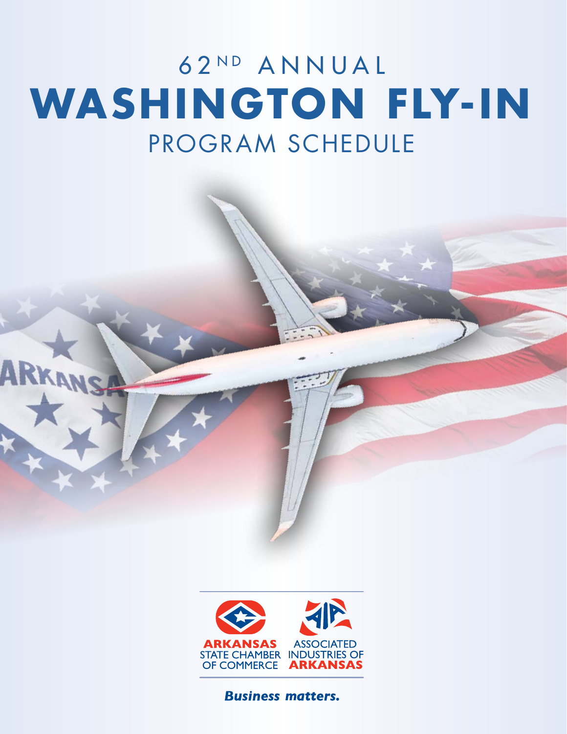# 62ND ANNUAL PROGRAM SCHEDULE **WASHINGTON FLY-IN**

**ARKA** 



**Business matters.**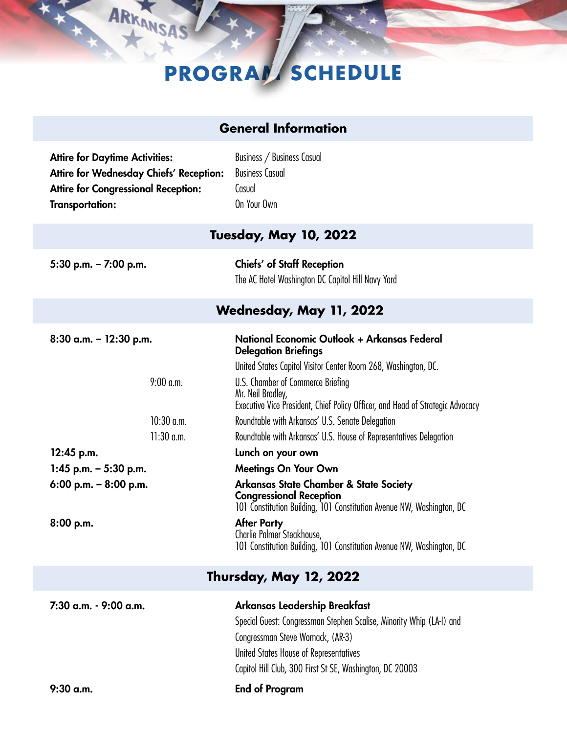# **PROGRAM SCHEDULE**

| <b>General Information</b>                                                                                                                               |                                                                                                                                                                                                                                                                                                                                                                                                                                                                                                                                                                                                                                                    |  |
|----------------------------------------------------------------------------------------------------------------------------------------------------------|----------------------------------------------------------------------------------------------------------------------------------------------------------------------------------------------------------------------------------------------------------------------------------------------------------------------------------------------------------------------------------------------------------------------------------------------------------------------------------------------------------------------------------------------------------------------------------------------------------------------------------------------------|--|
| <b>Attire for Daytime Activities:</b><br>Attire for Wednesday Chiefs' Reception:<br><b>Attire for Congressional Reception:</b><br><b>Transportation:</b> | Business / Business Casual<br><b>Business Casual</b><br>Casual<br>On Your Own                                                                                                                                                                                                                                                                                                                                                                                                                                                                                                                                                                      |  |
| <b>Tuesday, May 10, 2022</b>                                                                                                                             |                                                                                                                                                                                                                                                                                                                                                                                                                                                                                                                                                                                                                                                    |  |
| 5:30 p.m. $- 7:00$ p.m.                                                                                                                                  | <b>Chiefs' of Staff Reception</b><br>The AC Hotel Washington DC Capitol Hill Navy Yard                                                                                                                                                                                                                                                                                                                                                                                                                                                                                                                                                             |  |
| Wednesday, May 11, 2022                                                                                                                                  |                                                                                                                                                                                                                                                                                                                                                                                                                                                                                                                                                                                                                                                    |  |
| $8:30$ a.m. - 12:30 p.m.<br>$9:00$ a.m.<br>$10:30$ a.m.<br>$11:30$ a.m.<br>12:45 p.m.<br>1:45 p.m. $-$ 5:30 p.m.<br>6:00 p.m. $-8:00$ p.m.<br>8:00 p.m.  | National Economic Outlook + Arkansas Federal<br><b>Delegation Briefings</b><br>United States Capitol Visitor Center Room 268, Washington, DC.<br>U.S. Chamber of Commerce Briefing<br>Mr. Neil Bradley,<br>Executive Vice President, Chief Policy Officer, and Head of Strategic Advocacy<br>Roundtable with Arkansas' U.S. Senate Delegation<br>Roundtable with Arkansas' U.S. House of Representatives Delegation<br>Lunch on your own<br><b>Meetings On Your Own</b><br>Arkansas State Chamber & State Society<br><b>Congressional Reception</b><br>101 Constitution Building, 101 Constitution Avenue NW, Washington, DC<br><b>After Party</b> |  |
|                                                                                                                                                          | Charlie Palmer Steakhouse,<br>101 Constitution Building, 101 Constitution Avenue NW, Washington, DC                                                                                                                                                                                                                                                                                                                                                                                                                                                                                                                                                |  |
| <b>Thursday, May 12, 2022</b>                                                                                                                            |                                                                                                                                                                                                                                                                                                                                                                                                                                                                                                                                                                                                                                                    |  |
| 7:30 a.m. - 9:00 a.m.                                                                                                                                    | Arkansas Leadership Breakfast                                                                                                                                                                                                                                                                                                                                                                                                                                                                                                                                                                                                                      |  |

Special Guest: Congressman Stephen Scalise, Minority Whip (LA-I) and Congressman Steve Womack, (AR-3) United States House of Representatives Capitol Hill Club, 300 First St SE, Washington, DC 20003

ARKANSAS

9:30 a.m. End of Program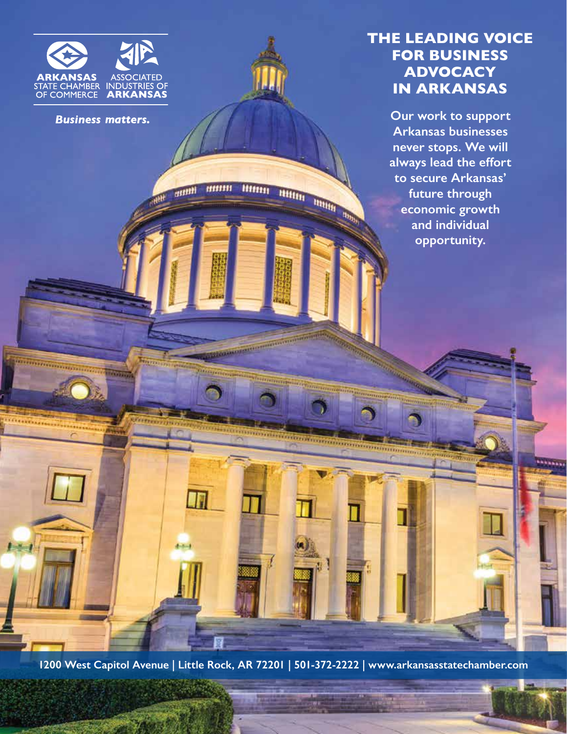

**Business matters.** 

m

### **THE LEADING VOICE FOR BUSINESS ADVOCACY IN ARKANSAS**

**Our work to support Arkansas businesses never stops. We will always lead the effort to secure Arkansas' future through economic growth and individual opportunity.**

**1200 West Capitol Avenue | Little Rock, AR 72201 | 501-372-2222 | www.arkansasstatechamber.com**

<u> Marang ang pagpagang dipangang di</u>

BRITTELL BERTHELD BRITTELL BRITTELL BRITTELL

**Hookunder Greenwich werden** 

m

 $4 - 5 - 4$